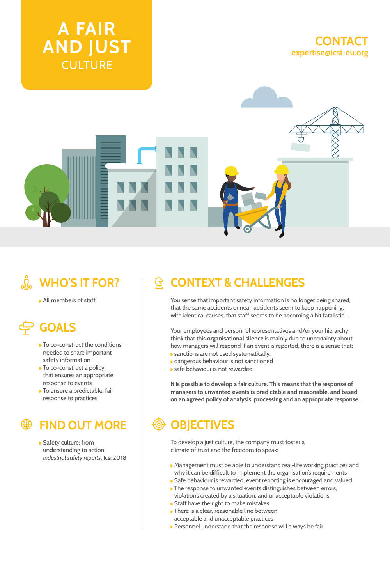





# **A WHO'S IT FOR?**

All members of staff

# **GOALS**

- ▶ To co-construct the conditions needed to share important safety information
- ▶ To co-construct a policy that ensures an appropriate response to events
- ▶ To ensure a predictable, fair response to practices

### **FIND OUT MORE**

Safety culture: from understanding to action, *Industrial safety reports*, Icsi 2018

## **CONTEXT & CHALLENGES**

You sense that important safety information is no longer being shared, that the same accidents or near-accidents seem to keep happening, with identical causes, that staff seems to be becoming a bit fatalistic...

Your employees and personnel representatives and/or your hierarchy think that this **organisational silence** is mainly due to uncertainty about how managers will respond if an event is reported, there is a sense that: sanctions are not used systematically,

- dangerous behaviour is not sanctioned
- safe behaviour is not rewarded.

**It is possible to develop a fair culture. This means that the response of managers to unwanted events is predictable and reasonable, and based on an agreed policy of analysis, processing and an appropriate response.**

## **OBJECTIVES**

To develop a just culture, the company must foster a climate of trust and the freedom to speak:

- Management must be able to understand real-life working practices and why it can be difficult to implement the organisation's requirements
- Safe behaviour is rewarded, event reporting is encouraged and valued The response to unwanted events distinguishes between errors,
- violations created by a situation, and unacceptable violations ▶ Staff have the right to make mistakes
- $\blacktriangleright$  There is a clear, reasonable line between
- acceptable and unacceptable practices
- Personnel understand that the response will always be fair.